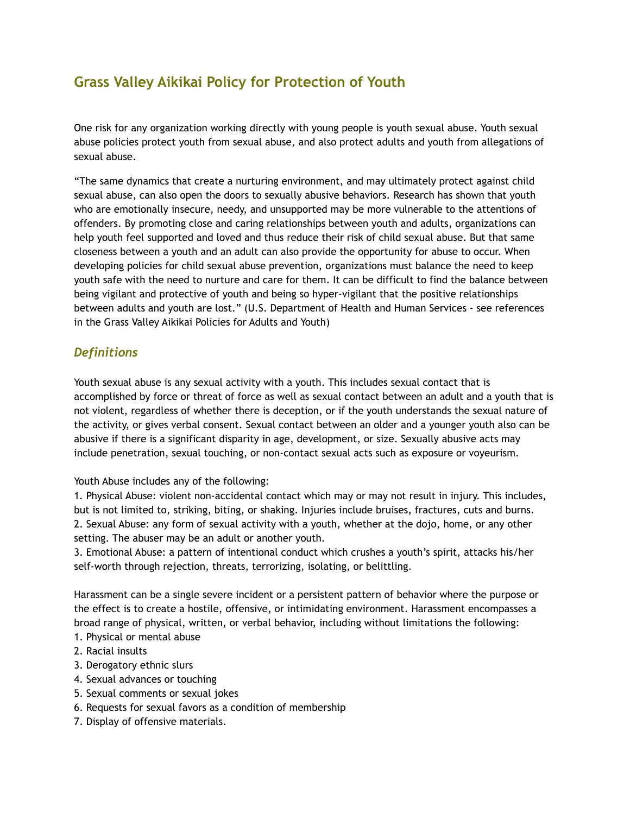# **Grass Valley Aikikai Policy for Protection of Youth**

One risk for any organization working directly with young people is youth sexual abuse. Youth sexual abuse policies protect youth from sexual abuse, and also protect adults and youth from allegations of sexual abuse.

"The same dynamics that create a nurturing environment, and may ultimately protect against child sexual abuse, can also open the doors to sexually abusive behaviors. Research has shown that youth who are emotionally insecure, needy, and unsupported may be more vulnerable to the attentions of offenders. By promoting close and caring relationships between youth and adults, organizations can help youth feel supported and loved and thus reduce their risk of child sexual abuse. But that same closeness between a youth and an adult can also provide the opportunity for abuse to occur. When developing policies for child sexual abuse prevention, organizations must balance the need to keep youth safe with the need to nurture and care for them. It can be difficult to find the balance between being vigilant and protective of youth and being so hyper-vigilant that the positive relationships between adults and youth are lost." (U.S. Department of Health and Human Services - see references in the Grass Valley Aikikai Policies for Adults and Youth)

### *Definitions*

Youth sexual abuse is any sexual activity with a youth. This includes sexual contact that is accomplished by force or threat of force as well as sexual contact between an adult and a youth that is not violent, regardless of whether there is deception, or if the youth understands the sexual nature of the activity, or gives verbal consent. Sexual contact between an older and a younger youth also can be abusive if there is a significant disparity in age, development, or size. Sexually abusive acts may include penetration, sexual touching, or non-contact sexual acts such as exposure or voyeurism.

Youth Abuse includes any of the following:

1*.* Physical Abuse: violent non-accidental contact which may or may not result in injury. This includes, but is not limited to, striking, biting, or shaking. Injuries include bruises, fractures, cuts and burns. 2. Sexual Abuse: any form of sexual activity with a youth, whether at the dojo, home, or any other setting. The abuser may be an adult or another youth.

3. Emotional Abuse: a pattern of intentional conduct which crushes a youth's spirit, attacks his/her self-worth through rejection, threats, terrorizing, isolating, or belittling.

Harassment can be a single severe incident or a persistent pattern of behavior where the purpose or the effect is to create a hostile, offensive, or intimidating environment. Harassment encompasses a broad range of physical, written, or verbal behavior, including without limitations the following:

- 1. Physical or mental abuse
- 2. Racial insults
- 3. Derogatory ethnic slurs
- 4. Sexual advances or touching
- 5. Sexual comments or sexual jokes
- 6. Requests for sexual favors as a condition of membership
- 7. Display of offensive materials.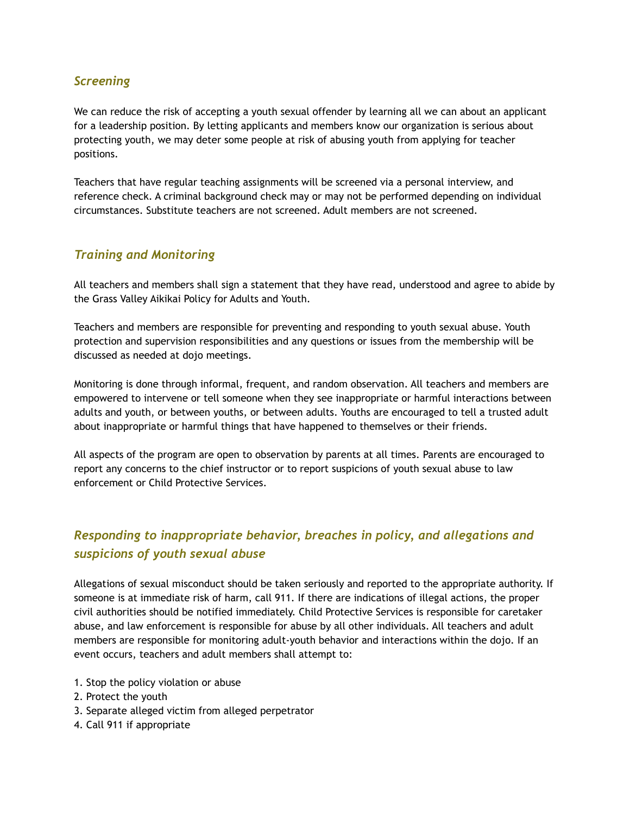#### *Screening*

We can reduce the risk of accepting a youth sexual offender by learning all we can about an applicant for a leadership position. By letting applicants and members know our organization is serious about protecting youth, we may deter some people at risk of abusing youth from applying for teacher positions.

Teachers that have regular teaching assignments will be screened via a personal interview, and reference check. A criminal background check may or may not be performed depending on individual circumstances. Substitute teachers are not screened. Adult members are not screened.

#### *Training and Monitoring*

All teachers and members shall sign a statement that they have read, understood and agree to abide by the Grass Valley Aikikai Policy for Adults and Youth.

Teachers and members are responsible for preventing and responding to youth sexual abuse. Youth protection and supervision responsibilities and any questions or issues from the membership will be discussed as needed at dojo meetings.

Monitoring is done through informal, frequent, and random observation. All teachers and members are empowered to intervene or tell someone when they see inappropriate or harmful interactions between adults and youth, or between youths, or between adults. Youths are encouraged to tell a trusted adult about inappropriate or harmful things that have happened to themselves or their friends.

All aspects of the program are open to observation by parents at all times. Parents are encouraged to report any concerns to the chief instructor or to report suspicions of youth sexual abuse to law enforcement or Child Protective Services.

## *Responding to inappropriate behavior, breaches in policy, and allegations and suspicions of youth sexual abuse*

Allegations of sexual misconduct should be taken seriously and reported to the appropriate authority. If someone is at immediate risk of harm, call 911. If there are indications of illegal actions, the proper civil authorities should be notified immediately. Child Protective Services is responsible for caretaker abuse, and law enforcement is responsible for abuse by all other individuals. All teachers and adult members are responsible for monitoring adult-youth behavior and interactions within the dojo. If an event occurs, teachers and adult members shall attempt to:

- 1. Stop the policy violation or abuse
- 2. Protect the youth
- 3. Separate alleged victim from alleged perpetrator
- 4. Call 911 if appropriate